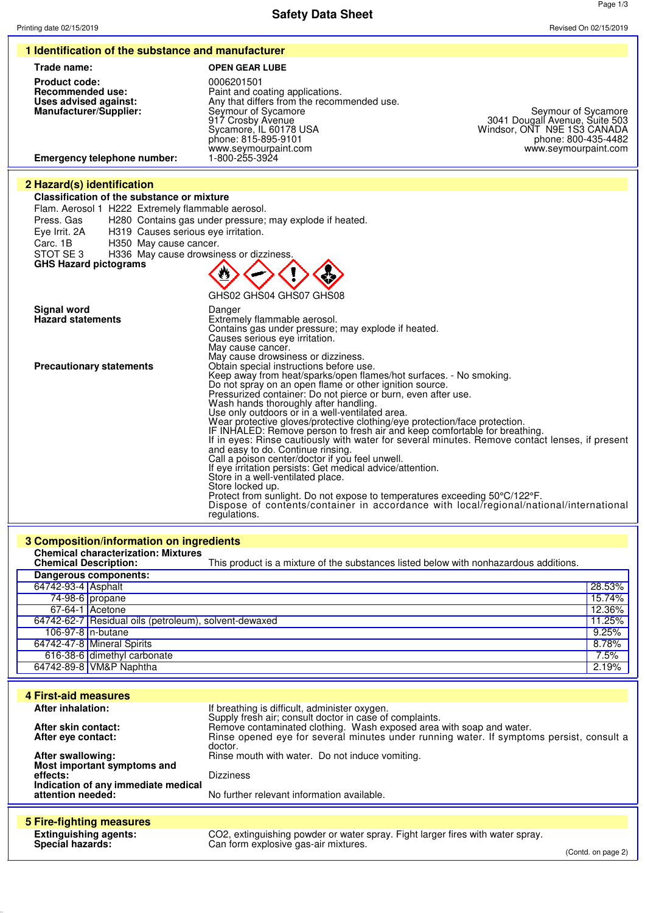**Safety Data Sheet**

Page 1/3

| Trade name:<br><b>OPEN GEAR LUBE</b><br><b>Product code:</b><br>0006201501<br><b>Recommended use:</b><br>Paint and coating applications.<br>Any that differs from the recommended use.<br>Uses advised against:<br>Manufacturer/Supplier:<br>Seymour of Sycamore<br>917 Crosby Avenue<br>3041 Dougall Avenue, Suite 503<br>Windsor, ONT N9E 1S3 CANADA<br>Sycamore, IL 60178 USA<br>phone: 815-895-9101<br>phone: 800-435-4482<br>www.seymourpaint.com<br>www.seymourpaint.com<br><b>Emergency telephone number:</b><br>1-800-255-3924<br>2 Hazard(s) identification<br>Classification of the substance or mixture<br>Flam. Aerosol 1 H222 Extremely flammable aerosol.<br>Press. Gas<br>H280 Contains gas under pressure; may explode if heated.<br>Eye Irrit. 2A<br>H319 Causes serious eye irritation.<br>Carc. 1B<br>H350 May cause cancer.<br>STOT SE3<br>H336 May cause drowsiness or dizziness.<br><b>GHS Hazard pictograms</b><br>GHS02 GHS04 GHS07 GHS08<br>Signal word<br>Danger<br><b>Hazard statements</b><br>Extremely flammable aerosol.<br>Contains gas under pressure; may explode if heated.<br>Causes serious eye irritation.<br>May cause cancer.<br>May cause drowsiness or dizziness.<br><b>Precautionary statements</b><br>Obtain special instructions before use.<br>Keep away from heat/sparks/open flames/hot surfaces. - No smoking.<br>Do not spray on an open flame or other ignition source.<br>Pressurized container: Do not pierce or burn, even after use.<br>Wash hands thoroughly after handling.<br>Use only outdoors or in a well-ventilated area.<br>Wear protective gloves/protective clothing/eye protection/face protection.<br>IF INHALED: Remove person to fresh air and keep comfortable for breathing.<br>If in eyes: Rinse cautiously with water for several minutes. Remove contact lenses, if present<br>and easy to do. Continue rinsing.<br>Call a poison center/doctor if you feel unwell.<br>If eye irritation persists: Get medical advice/attention.<br>Store in a well-ventilated place.<br>Store locked up.<br>Protect from sunlight. Do not expose to temperatures exceeding 50°C/122°F.<br>Dispose of contents/container in accordance with local/regional/national/international<br>regulations.<br>3 Composition/information on ingredients<br><b>Chemical characterization: Mixtures</b><br><b>Chemical Description:</b><br>This product is a mixture of the substances listed below with nonhazardous additions.<br>Dangerous components:<br>64742-93-4 Asphalt<br>74-98-6 propane<br>67-64-1 Acetone<br>64742-62-7 Residual oils (petroleum), solvent-dewaxed<br>106-97-8 n-butane<br>64742-47-8 Mineral Spirits<br>616-38-6 dimethyl carbonate<br>64742-89-8   VM&P Naphtha<br><b>4 First-aid measures</b><br><b>After inhalation:</b><br>If breathing is difficult, administer oxygen.<br>Supply fresh air; consult doctor in case of complaints.<br>Remove contaminated clothing. Wash exposed area with soap and water.<br>After skin contact:<br>Rinse opened eye for several minutes under running water. If symptoms persist, consult a<br>After eye contact:<br>doctor.<br>Rinse mouth with water. Do not induce vomiting.<br>After swallowing:<br>Most important symptoms and<br>effects:<br><b>Dizziness</b><br>Indication of any immediate medical<br>attention needed:<br>No further relevant information available.<br><b>5 Fire-fighting measures</b><br><b>Extinguishing agents:</b><br>CO2, extinguishing powder or water spray. Fight larger fires with water spray.<br>Special hazards:<br>Can form explosive gas-air mixtures.<br>(Contd. on page 2) |  |                     |
|---------------------------------------------------------------------------------------------------------------------------------------------------------------------------------------------------------------------------------------------------------------------------------------------------------------------------------------------------------------------------------------------------------------------------------------------------------------------------------------------------------------------------------------------------------------------------------------------------------------------------------------------------------------------------------------------------------------------------------------------------------------------------------------------------------------------------------------------------------------------------------------------------------------------------------------------------------------------------------------------------------------------------------------------------------------------------------------------------------------------------------------------------------------------------------------------------------------------------------------------------------------------------------------------------------------------------------------------------------------------------------------------------------------------------------------------------------------------------------------------------------------------------------------------------------------------------------------------------------------------------------------------------------------------------------------------------------------------------------------------------------------------------------------------------------------------------------------------------------------------------------------------------------------------------------------------------------------------------------------------------------------------------------------------------------------------------------------------------------------------------------------------------------------------------------------------------------------------------------------------------------------------------------------------------------------------------------------------------------------------------------------------------------------------------------------------------------------------------------------------------------------------------------------------------------------------------------------------------------------------------------------------------------------------------------------------------------------------------------------------------------------------------------------------------------------------------------------------------------------------------------------------------------------------------------------------------------------------------------------------------------------------------------------------------------------------------------------------------------------------------------------------------------------------------------------------------------------------------------------------------------------------------------------------------------------------------------------------------------------------------------------------------------------------------------------------------------------------------------------------------------------------------------------------------------------------------------------------------------------------------------------|--|---------------------|
|                                                                                                                                                                                                                                                                                                                                                                                                                                                                                                                                                                                                                                                                                                                                                                                                                                                                                                                                                                                                                                                                                                                                                                                                                                                                                                                                                                                                                                                                                                                                                                                                                                                                                                                                                                                                                                                                                                                                                                                                                                                                                                                                                                                                                                                                                                                                                                                                                                                                                                                                                                                                                                                                                                                                                                                                                                                                                                                                                                                                                                                                                                                                                                                                                                                                                                                                                                                                                                                                                                                                                                                                                                       |  |                     |
|                                                                                                                                                                                                                                                                                                                                                                                                                                                                                                                                                                                                                                                                                                                                                                                                                                                                                                                                                                                                                                                                                                                                                                                                                                                                                                                                                                                                                                                                                                                                                                                                                                                                                                                                                                                                                                                                                                                                                                                                                                                                                                                                                                                                                                                                                                                                                                                                                                                                                                                                                                                                                                                                                                                                                                                                                                                                                                                                                                                                                                                                                                                                                                                                                                                                                                                                                                                                                                                                                                                                                                                                                                       |  |                     |
|                                                                                                                                                                                                                                                                                                                                                                                                                                                                                                                                                                                                                                                                                                                                                                                                                                                                                                                                                                                                                                                                                                                                                                                                                                                                                                                                                                                                                                                                                                                                                                                                                                                                                                                                                                                                                                                                                                                                                                                                                                                                                                                                                                                                                                                                                                                                                                                                                                                                                                                                                                                                                                                                                                                                                                                                                                                                                                                                                                                                                                                                                                                                                                                                                                                                                                                                                                                                                                                                                                                                                                                                                                       |  |                     |
|                                                                                                                                                                                                                                                                                                                                                                                                                                                                                                                                                                                                                                                                                                                                                                                                                                                                                                                                                                                                                                                                                                                                                                                                                                                                                                                                                                                                                                                                                                                                                                                                                                                                                                                                                                                                                                                                                                                                                                                                                                                                                                                                                                                                                                                                                                                                                                                                                                                                                                                                                                                                                                                                                                                                                                                                                                                                                                                                                                                                                                                                                                                                                                                                                                                                                                                                                                                                                                                                                                                                                                                                                                       |  |                     |
|                                                                                                                                                                                                                                                                                                                                                                                                                                                                                                                                                                                                                                                                                                                                                                                                                                                                                                                                                                                                                                                                                                                                                                                                                                                                                                                                                                                                                                                                                                                                                                                                                                                                                                                                                                                                                                                                                                                                                                                                                                                                                                                                                                                                                                                                                                                                                                                                                                                                                                                                                                                                                                                                                                                                                                                                                                                                                                                                                                                                                                                                                                                                                                                                                                                                                                                                                                                                                                                                                                                                                                                                                                       |  | Seymour of Sycamore |
|                                                                                                                                                                                                                                                                                                                                                                                                                                                                                                                                                                                                                                                                                                                                                                                                                                                                                                                                                                                                                                                                                                                                                                                                                                                                                                                                                                                                                                                                                                                                                                                                                                                                                                                                                                                                                                                                                                                                                                                                                                                                                                                                                                                                                                                                                                                                                                                                                                                                                                                                                                                                                                                                                                                                                                                                                                                                                                                                                                                                                                                                                                                                                                                                                                                                                                                                                                                                                                                                                                                                                                                                                                       |  |                     |
|                                                                                                                                                                                                                                                                                                                                                                                                                                                                                                                                                                                                                                                                                                                                                                                                                                                                                                                                                                                                                                                                                                                                                                                                                                                                                                                                                                                                                                                                                                                                                                                                                                                                                                                                                                                                                                                                                                                                                                                                                                                                                                                                                                                                                                                                                                                                                                                                                                                                                                                                                                                                                                                                                                                                                                                                                                                                                                                                                                                                                                                                                                                                                                                                                                                                                                                                                                                                                                                                                                                                                                                                                                       |  |                     |
|                                                                                                                                                                                                                                                                                                                                                                                                                                                                                                                                                                                                                                                                                                                                                                                                                                                                                                                                                                                                                                                                                                                                                                                                                                                                                                                                                                                                                                                                                                                                                                                                                                                                                                                                                                                                                                                                                                                                                                                                                                                                                                                                                                                                                                                                                                                                                                                                                                                                                                                                                                                                                                                                                                                                                                                                                                                                                                                                                                                                                                                                                                                                                                                                                                                                                                                                                                                                                                                                                                                                                                                                                                       |  |                     |
|                                                                                                                                                                                                                                                                                                                                                                                                                                                                                                                                                                                                                                                                                                                                                                                                                                                                                                                                                                                                                                                                                                                                                                                                                                                                                                                                                                                                                                                                                                                                                                                                                                                                                                                                                                                                                                                                                                                                                                                                                                                                                                                                                                                                                                                                                                                                                                                                                                                                                                                                                                                                                                                                                                                                                                                                                                                                                                                                                                                                                                                                                                                                                                                                                                                                                                                                                                                                                                                                                                                                                                                                                                       |  |                     |
|                                                                                                                                                                                                                                                                                                                                                                                                                                                                                                                                                                                                                                                                                                                                                                                                                                                                                                                                                                                                                                                                                                                                                                                                                                                                                                                                                                                                                                                                                                                                                                                                                                                                                                                                                                                                                                                                                                                                                                                                                                                                                                                                                                                                                                                                                                                                                                                                                                                                                                                                                                                                                                                                                                                                                                                                                                                                                                                                                                                                                                                                                                                                                                                                                                                                                                                                                                                                                                                                                                                                                                                                                                       |  |                     |
|                                                                                                                                                                                                                                                                                                                                                                                                                                                                                                                                                                                                                                                                                                                                                                                                                                                                                                                                                                                                                                                                                                                                                                                                                                                                                                                                                                                                                                                                                                                                                                                                                                                                                                                                                                                                                                                                                                                                                                                                                                                                                                                                                                                                                                                                                                                                                                                                                                                                                                                                                                                                                                                                                                                                                                                                                                                                                                                                                                                                                                                                                                                                                                                                                                                                                                                                                                                                                                                                                                                                                                                                                                       |  |                     |
|                                                                                                                                                                                                                                                                                                                                                                                                                                                                                                                                                                                                                                                                                                                                                                                                                                                                                                                                                                                                                                                                                                                                                                                                                                                                                                                                                                                                                                                                                                                                                                                                                                                                                                                                                                                                                                                                                                                                                                                                                                                                                                                                                                                                                                                                                                                                                                                                                                                                                                                                                                                                                                                                                                                                                                                                                                                                                                                                                                                                                                                                                                                                                                                                                                                                                                                                                                                                                                                                                                                                                                                                                                       |  |                     |
|                                                                                                                                                                                                                                                                                                                                                                                                                                                                                                                                                                                                                                                                                                                                                                                                                                                                                                                                                                                                                                                                                                                                                                                                                                                                                                                                                                                                                                                                                                                                                                                                                                                                                                                                                                                                                                                                                                                                                                                                                                                                                                                                                                                                                                                                                                                                                                                                                                                                                                                                                                                                                                                                                                                                                                                                                                                                                                                                                                                                                                                                                                                                                                                                                                                                                                                                                                                                                                                                                                                                                                                                                                       |  |                     |
|                                                                                                                                                                                                                                                                                                                                                                                                                                                                                                                                                                                                                                                                                                                                                                                                                                                                                                                                                                                                                                                                                                                                                                                                                                                                                                                                                                                                                                                                                                                                                                                                                                                                                                                                                                                                                                                                                                                                                                                                                                                                                                                                                                                                                                                                                                                                                                                                                                                                                                                                                                                                                                                                                                                                                                                                                                                                                                                                                                                                                                                                                                                                                                                                                                                                                                                                                                                                                                                                                                                                                                                                                                       |  |                     |
|                                                                                                                                                                                                                                                                                                                                                                                                                                                                                                                                                                                                                                                                                                                                                                                                                                                                                                                                                                                                                                                                                                                                                                                                                                                                                                                                                                                                                                                                                                                                                                                                                                                                                                                                                                                                                                                                                                                                                                                                                                                                                                                                                                                                                                                                                                                                                                                                                                                                                                                                                                                                                                                                                                                                                                                                                                                                                                                                                                                                                                                                                                                                                                                                                                                                                                                                                                                                                                                                                                                                                                                                                                       |  |                     |
|                                                                                                                                                                                                                                                                                                                                                                                                                                                                                                                                                                                                                                                                                                                                                                                                                                                                                                                                                                                                                                                                                                                                                                                                                                                                                                                                                                                                                                                                                                                                                                                                                                                                                                                                                                                                                                                                                                                                                                                                                                                                                                                                                                                                                                                                                                                                                                                                                                                                                                                                                                                                                                                                                                                                                                                                                                                                                                                                                                                                                                                                                                                                                                                                                                                                                                                                                                                                                                                                                                                                                                                                                                       |  |                     |
|                                                                                                                                                                                                                                                                                                                                                                                                                                                                                                                                                                                                                                                                                                                                                                                                                                                                                                                                                                                                                                                                                                                                                                                                                                                                                                                                                                                                                                                                                                                                                                                                                                                                                                                                                                                                                                                                                                                                                                                                                                                                                                                                                                                                                                                                                                                                                                                                                                                                                                                                                                                                                                                                                                                                                                                                                                                                                                                                                                                                                                                                                                                                                                                                                                                                                                                                                                                                                                                                                                                                                                                                                                       |  |                     |
|                                                                                                                                                                                                                                                                                                                                                                                                                                                                                                                                                                                                                                                                                                                                                                                                                                                                                                                                                                                                                                                                                                                                                                                                                                                                                                                                                                                                                                                                                                                                                                                                                                                                                                                                                                                                                                                                                                                                                                                                                                                                                                                                                                                                                                                                                                                                                                                                                                                                                                                                                                                                                                                                                                                                                                                                                                                                                                                                                                                                                                                                                                                                                                                                                                                                                                                                                                                                                                                                                                                                                                                                                                       |  |                     |
|                                                                                                                                                                                                                                                                                                                                                                                                                                                                                                                                                                                                                                                                                                                                                                                                                                                                                                                                                                                                                                                                                                                                                                                                                                                                                                                                                                                                                                                                                                                                                                                                                                                                                                                                                                                                                                                                                                                                                                                                                                                                                                                                                                                                                                                                                                                                                                                                                                                                                                                                                                                                                                                                                                                                                                                                                                                                                                                                                                                                                                                                                                                                                                                                                                                                                                                                                                                                                                                                                                                                                                                                                                       |  |                     |
|                                                                                                                                                                                                                                                                                                                                                                                                                                                                                                                                                                                                                                                                                                                                                                                                                                                                                                                                                                                                                                                                                                                                                                                                                                                                                                                                                                                                                                                                                                                                                                                                                                                                                                                                                                                                                                                                                                                                                                                                                                                                                                                                                                                                                                                                                                                                                                                                                                                                                                                                                                                                                                                                                                                                                                                                                                                                                                                                                                                                                                                                                                                                                                                                                                                                                                                                                                                                                                                                                                                                                                                                                                       |  |                     |
|                                                                                                                                                                                                                                                                                                                                                                                                                                                                                                                                                                                                                                                                                                                                                                                                                                                                                                                                                                                                                                                                                                                                                                                                                                                                                                                                                                                                                                                                                                                                                                                                                                                                                                                                                                                                                                                                                                                                                                                                                                                                                                                                                                                                                                                                                                                                                                                                                                                                                                                                                                                                                                                                                                                                                                                                                                                                                                                                                                                                                                                                                                                                                                                                                                                                                                                                                                                                                                                                                                                                                                                                                                       |  |                     |
|                                                                                                                                                                                                                                                                                                                                                                                                                                                                                                                                                                                                                                                                                                                                                                                                                                                                                                                                                                                                                                                                                                                                                                                                                                                                                                                                                                                                                                                                                                                                                                                                                                                                                                                                                                                                                                                                                                                                                                                                                                                                                                                                                                                                                                                                                                                                                                                                                                                                                                                                                                                                                                                                                                                                                                                                                                                                                                                                                                                                                                                                                                                                                                                                                                                                                                                                                                                                                                                                                                                                                                                                                                       |  |                     |
|                                                                                                                                                                                                                                                                                                                                                                                                                                                                                                                                                                                                                                                                                                                                                                                                                                                                                                                                                                                                                                                                                                                                                                                                                                                                                                                                                                                                                                                                                                                                                                                                                                                                                                                                                                                                                                                                                                                                                                                                                                                                                                                                                                                                                                                                                                                                                                                                                                                                                                                                                                                                                                                                                                                                                                                                                                                                                                                                                                                                                                                                                                                                                                                                                                                                                                                                                                                                                                                                                                                                                                                                                                       |  |                     |
|                                                                                                                                                                                                                                                                                                                                                                                                                                                                                                                                                                                                                                                                                                                                                                                                                                                                                                                                                                                                                                                                                                                                                                                                                                                                                                                                                                                                                                                                                                                                                                                                                                                                                                                                                                                                                                                                                                                                                                                                                                                                                                                                                                                                                                                                                                                                                                                                                                                                                                                                                                                                                                                                                                                                                                                                                                                                                                                                                                                                                                                                                                                                                                                                                                                                                                                                                                                                                                                                                                                                                                                                                                       |  |                     |
|                                                                                                                                                                                                                                                                                                                                                                                                                                                                                                                                                                                                                                                                                                                                                                                                                                                                                                                                                                                                                                                                                                                                                                                                                                                                                                                                                                                                                                                                                                                                                                                                                                                                                                                                                                                                                                                                                                                                                                                                                                                                                                                                                                                                                                                                                                                                                                                                                                                                                                                                                                                                                                                                                                                                                                                                                                                                                                                                                                                                                                                                                                                                                                                                                                                                                                                                                                                                                                                                                                                                                                                                                                       |  |                     |
|                                                                                                                                                                                                                                                                                                                                                                                                                                                                                                                                                                                                                                                                                                                                                                                                                                                                                                                                                                                                                                                                                                                                                                                                                                                                                                                                                                                                                                                                                                                                                                                                                                                                                                                                                                                                                                                                                                                                                                                                                                                                                                                                                                                                                                                                                                                                                                                                                                                                                                                                                                                                                                                                                                                                                                                                                                                                                                                                                                                                                                                                                                                                                                                                                                                                                                                                                                                                                                                                                                                                                                                                                                       |  |                     |
|                                                                                                                                                                                                                                                                                                                                                                                                                                                                                                                                                                                                                                                                                                                                                                                                                                                                                                                                                                                                                                                                                                                                                                                                                                                                                                                                                                                                                                                                                                                                                                                                                                                                                                                                                                                                                                                                                                                                                                                                                                                                                                                                                                                                                                                                                                                                                                                                                                                                                                                                                                                                                                                                                                                                                                                                                                                                                                                                                                                                                                                                                                                                                                                                                                                                                                                                                                                                                                                                                                                                                                                                                                       |  |                     |
|                                                                                                                                                                                                                                                                                                                                                                                                                                                                                                                                                                                                                                                                                                                                                                                                                                                                                                                                                                                                                                                                                                                                                                                                                                                                                                                                                                                                                                                                                                                                                                                                                                                                                                                                                                                                                                                                                                                                                                                                                                                                                                                                                                                                                                                                                                                                                                                                                                                                                                                                                                                                                                                                                                                                                                                                                                                                                                                                                                                                                                                                                                                                                                                                                                                                                                                                                                                                                                                                                                                                                                                                                                       |  |                     |
|                                                                                                                                                                                                                                                                                                                                                                                                                                                                                                                                                                                                                                                                                                                                                                                                                                                                                                                                                                                                                                                                                                                                                                                                                                                                                                                                                                                                                                                                                                                                                                                                                                                                                                                                                                                                                                                                                                                                                                                                                                                                                                                                                                                                                                                                                                                                                                                                                                                                                                                                                                                                                                                                                                                                                                                                                                                                                                                                                                                                                                                                                                                                                                                                                                                                                                                                                                                                                                                                                                                                                                                                                                       |  |                     |
|                                                                                                                                                                                                                                                                                                                                                                                                                                                                                                                                                                                                                                                                                                                                                                                                                                                                                                                                                                                                                                                                                                                                                                                                                                                                                                                                                                                                                                                                                                                                                                                                                                                                                                                                                                                                                                                                                                                                                                                                                                                                                                                                                                                                                                                                                                                                                                                                                                                                                                                                                                                                                                                                                                                                                                                                                                                                                                                                                                                                                                                                                                                                                                                                                                                                                                                                                                                                                                                                                                                                                                                                                                       |  |                     |
|                                                                                                                                                                                                                                                                                                                                                                                                                                                                                                                                                                                                                                                                                                                                                                                                                                                                                                                                                                                                                                                                                                                                                                                                                                                                                                                                                                                                                                                                                                                                                                                                                                                                                                                                                                                                                                                                                                                                                                                                                                                                                                                                                                                                                                                                                                                                                                                                                                                                                                                                                                                                                                                                                                                                                                                                                                                                                                                                                                                                                                                                                                                                                                                                                                                                                                                                                                                                                                                                                                                                                                                                                                       |  |                     |
|                                                                                                                                                                                                                                                                                                                                                                                                                                                                                                                                                                                                                                                                                                                                                                                                                                                                                                                                                                                                                                                                                                                                                                                                                                                                                                                                                                                                                                                                                                                                                                                                                                                                                                                                                                                                                                                                                                                                                                                                                                                                                                                                                                                                                                                                                                                                                                                                                                                                                                                                                                                                                                                                                                                                                                                                                                                                                                                                                                                                                                                                                                                                                                                                                                                                                                                                                                                                                                                                                                                                                                                                                                       |  |                     |
|                                                                                                                                                                                                                                                                                                                                                                                                                                                                                                                                                                                                                                                                                                                                                                                                                                                                                                                                                                                                                                                                                                                                                                                                                                                                                                                                                                                                                                                                                                                                                                                                                                                                                                                                                                                                                                                                                                                                                                                                                                                                                                                                                                                                                                                                                                                                                                                                                                                                                                                                                                                                                                                                                                                                                                                                                                                                                                                                                                                                                                                                                                                                                                                                                                                                                                                                                                                                                                                                                                                                                                                                                                       |  |                     |
|                                                                                                                                                                                                                                                                                                                                                                                                                                                                                                                                                                                                                                                                                                                                                                                                                                                                                                                                                                                                                                                                                                                                                                                                                                                                                                                                                                                                                                                                                                                                                                                                                                                                                                                                                                                                                                                                                                                                                                                                                                                                                                                                                                                                                                                                                                                                                                                                                                                                                                                                                                                                                                                                                                                                                                                                                                                                                                                                                                                                                                                                                                                                                                                                                                                                                                                                                                                                                                                                                                                                                                                                                                       |  |                     |
|                                                                                                                                                                                                                                                                                                                                                                                                                                                                                                                                                                                                                                                                                                                                                                                                                                                                                                                                                                                                                                                                                                                                                                                                                                                                                                                                                                                                                                                                                                                                                                                                                                                                                                                                                                                                                                                                                                                                                                                                                                                                                                                                                                                                                                                                                                                                                                                                                                                                                                                                                                                                                                                                                                                                                                                                                                                                                                                                                                                                                                                                                                                                                                                                                                                                                                                                                                                                                                                                                                                                                                                                                                       |  |                     |
|                                                                                                                                                                                                                                                                                                                                                                                                                                                                                                                                                                                                                                                                                                                                                                                                                                                                                                                                                                                                                                                                                                                                                                                                                                                                                                                                                                                                                                                                                                                                                                                                                                                                                                                                                                                                                                                                                                                                                                                                                                                                                                                                                                                                                                                                                                                                                                                                                                                                                                                                                                                                                                                                                                                                                                                                                                                                                                                                                                                                                                                                                                                                                                                                                                                                                                                                                                                                                                                                                                                                                                                                                                       |  |                     |
|                                                                                                                                                                                                                                                                                                                                                                                                                                                                                                                                                                                                                                                                                                                                                                                                                                                                                                                                                                                                                                                                                                                                                                                                                                                                                                                                                                                                                                                                                                                                                                                                                                                                                                                                                                                                                                                                                                                                                                                                                                                                                                                                                                                                                                                                                                                                                                                                                                                                                                                                                                                                                                                                                                                                                                                                                                                                                                                                                                                                                                                                                                                                                                                                                                                                                                                                                                                                                                                                                                                                                                                                                                       |  |                     |
|                                                                                                                                                                                                                                                                                                                                                                                                                                                                                                                                                                                                                                                                                                                                                                                                                                                                                                                                                                                                                                                                                                                                                                                                                                                                                                                                                                                                                                                                                                                                                                                                                                                                                                                                                                                                                                                                                                                                                                                                                                                                                                                                                                                                                                                                                                                                                                                                                                                                                                                                                                                                                                                                                                                                                                                                                                                                                                                                                                                                                                                                                                                                                                                                                                                                                                                                                                                                                                                                                                                                                                                                                                       |  |                     |
|                                                                                                                                                                                                                                                                                                                                                                                                                                                                                                                                                                                                                                                                                                                                                                                                                                                                                                                                                                                                                                                                                                                                                                                                                                                                                                                                                                                                                                                                                                                                                                                                                                                                                                                                                                                                                                                                                                                                                                                                                                                                                                                                                                                                                                                                                                                                                                                                                                                                                                                                                                                                                                                                                                                                                                                                                                                                                                                                                                                                                                                                                                                                                                                                                                                                                                                                                                                                                                                                                                                                                                                                                                       |  |                     |
|                                                                                                                                                                                                                                                                                                                                                                                                                                                                                                                                                                                                                                                                                                                                                                                                                                                                                                                                                                                                                                                                                                                                                                                                                                                                                                                                                                                                                                                                                                                                                                                                                                                                                                                                                                                                                                                                                                                                                                                                                                                                                                                                                                                                                                                                                                                                                                                                                                                                                                                                                                                                                                                                                                                                                                                                                                                                                                                                                                                                                                                                                                                                                                                                                                                                                                                                                                                                                                                                                                                                                                                                                                       |  |                     |
|                                                                                                                                                                                                                                                                                                                                                                                                                                                                                                                                                                                                                                                                                                                                                                                                                                                                                                                                                                                                                                                                                                                                                                                                                                                                                                                                                                                                                                                                                                                                                                                                                                                                                                                                                                                                                                                                                                                                                                                                                                                                                                                                                                                                                                                                                                                                                                                                                                                                                                                                                                                                                                                                                                                                                                                                                                                                                                                                                                                                                                                                                                                                                                                                                                                                                                                                                                                                                                                                                                                                                                                                                                       |  |                     |
|                                                                                                                                                                                                                                                                                                                                                                                                                                                                                                                                                                                                                                                                                                                                                                                                                                                                                                                                                                                                                                                                                                                                                                                                                                                                                                                                                                                                                                                                                                                                                                                                                                                                                                                                                                                                                                                                                                                                                                                                                                                                                                                                                                                                                                                                                                                                                                                                                                                                                                                                                                                                                                                                                                                                                                                                                                                                                                                                                                                                                                                                                                                                                                                                                                                                                                                                                                                                                                                                                                                                                                                                                                       |  |                     |
|                                                                                                                                                                                                                                                                                                                                                                                                                                                                                                                                                                                                                                                                                                                                                                                                                                                                                                                                                                                                                                                                                                                                                                                                                                                                                                                                                                                                                                                                                                                                                                                                                                                                                                                                                                                                                                                                                                                                                                                                                                                                                                                                                                                                                                                                                                                                                                                                                                                                                                                                                                                                                                                                                                                                                                                                                                                                                                                                                                                                                                                                                                                                                                                                                                                                                                                                                                                                                                                                                                                                                                                                                                       |  |                     |
|                                                                                                                                                                                                                                                                                                                                                                                                                                                                                                                                                                                                                                                                                                                                                                                                                                                                                                                                                                                                                                                                                                                                                                                                                                                                                                                                                                                                                                                                                                                                                                                                                                                                                                                                                                                                                                                                                                                                                                                                                                                                                                                                                                                                                                                                                                                                                                                                                                                                                                                                                                                                                                                                                                                                                                                                                                                                                                                                                                                                                                                                                                                                                                                                                                                                                                                                                                                                                                                                                                                                                                                                                                       |  |                     |
|                                                                                                                                                                                                                                                                                                                                                                                                                                                                                                                                                                                                                                                                                                                                                                                                                                                                                                                                                                                                                                                                                                                                                                                                                                                                                                                                                                                                                                                                                                                                                                                                                                                                                                                                                                                                                                                                                                                                                                                                                                                                                                                                                                                                                                                                                                                                                                                                                                                                                                                                                                                                                                                                                                                                                                                                                                                                                                                                                                                                                                                                                                                                                                                                                                                                                                                                                                                                                                                                                                                                                                                                                                       |  | 28.53%              |
|                                                                                                                                                                                                                                                                                                                                                                                                                                                                                                                                                                                                                                                                                                                                                                                                                                                                                                                                                                                                                                                                                                                                                                                                                                                                                                                                                                                                                                                                                                                                                                                                                                                                                                                                                                                                                                                                                                                                                                                                                                                                                                                                                                                                                                                                                                                                                                                                                                                                                                                                                                                                                                                                                                                                                                                                                                                                                                                                                                                                                                                                                                                                                                                                                                                                                                                                                                                                                                                                                                                                                                                                                                       |  | 15.74%              |
|                                                                                                                                                                                                                                                                                                                                                                                                                                                                                                                                                                                                                                                                                                                                                                                                                                                                                                                                                                                                                                                                                                                                                                                                                                                                                                                                                                                                                                                                                                                                                                                                                                                                                                                                                                                                                                                                                                                                                                                                                                                                                                                                                                                                                                                                                                                                                                                                                                                                                                                                                                                                                                                                                                                                                                                                                                                                                                                                                                                                                                                                                                                                                                                                                                                                                                                                                                                                                                                                                                                                                                                                                                       |  | 12.36%              |
|                                                                                                                                                                                                                                                                                                                                                                                                                                                                                                                                                                                                                                                                                                                                                                                                                                                                                                                                                                                                                                                                                                                                                                                                                                                                                                                                                                                                                                                                                                                                                                                                                                                                                                                                                                                                                                                                                                                                                                                                                                                                                                                                                                                                                                                                                                                                                                                                                                                                                                                                                                                                                                                                                                                                                                                                                                                                                                                                                                                                                                                                                                                                                                                                                                                                                                                                                                                                                                                                                                                                                                                                                                       |  | 11.25%              |
|                                                                                                                                                                                                                                                                                                                                                                                                                                                                                                                                                                                                                                                                                                                                                                                                                                                                                                                                                                                                                                                                                                                                                                                                                                                                                                                                                                                                                                                                                                                                                                                                                                                                                                                                                                                                                                                                                                                                                                                                                                                                                                                                                                                                                                                                                                                                                                                                                                                                                                                                                                                                                                                                                                                                                                                                                                                                                                                                                                                                                                                                                                                                                                                                                                                                                                                                                                                                                                                                                                                                                                                                                                       |  | 9.25%               |
|                                                                                                                                                                                                                                                                                                                                                                                                                                                                                                                                                                                                                                                                                                                                                                                                                                                                                                                                                                                                                                                                                                                                                                                                                                                                                                                                                                                                                                                                                                                                                                                                                                                                                                                                                                                                                                                                                                                                                                                                                                                                                                                                                                                                                                                                                                                                                                                                                                                                                                                                                                                                                                                                                                                                                                                                                                                                                                                                                                                                                                                                                                                                                                                                                                                                                                                                                                                                                                                                                                                                                                                                                                       |  | 8.78%               |
|                                                                                                                                                                                                                                                                                                                                                                                                                                                                                                                                                                                                                                                                                                                                                                                                                                                                                                                                                                                                                                                                                                                                                                                                                                                                                                                                                                                                                                                                                                                                                                                                                                                                                                                                                                                                                                                                                                                                                                                                                                                                                                                                                                                                                                                                                                                                                                                                                                                                                                                                                                                                                                                                                                                                                                                                                                                                                                                                                                                                                                                                                                                                                                                                                                                                                                                                                                                                                                                                                                                                                                                                                                       |  | 7.5%                |
|                                                                                                                                                                                                                                                                                                                                                                                                                                                                                                                                                                                                                                                                                                                                                                                                                                                                                                                                                                                                                                                                                                                                                                                                                                                                                                                                                                                                                                                                                                                                                                                                                                                                                                                                                                                                                                                                                                                                                                                                                                                                                                                                                                                                                                                                                                                                                                                                                                                                                                                                                                                                                                                                                                                                                                                                                                                                                                                                                                                                                                                                                                                                                                                                                                                                                                                                                                                                                                                                                                                                                                                                                                       |  | 2.19%               |
|                                                                                                                                                                                                                                                                                                                                                                                                                                                                                                                                                                                                                                                                                                                                                                                                                                                                                                                                                                                                                                                                                                                                                                                                                                                                                                                                                                                                                                                                                                                                                                                                                                                                                                                                                                                                                                                                                                                                                                                                                                                                                                                                                                                                                                                                                                                                                                                                                                                                                                                                                                                                                                                                                                                                                                                                                                                                                                                                                                                                                                                                                                                                                                                                                                                                                                                                                                                                                                                                                                                                                                                                                                       |  |                     |
|                                                                                                                                                                                                                                                                                                                                                                                                                                                                                                                                                                                                                                                                                                                                                                                                                                                                                                                                                                                                                                                                                                                                                                                                                                                                                                                                                                                                                                                                                                                                                                                                                                                                                                                                                                                                                                                                                                                                                                                                                                                                                                                                                                                                                                                                                                                                                                                                                                                                                                                                                                                                                                                                                                                                                                                                                                                                                                                                                                                                                                                                                                                                                                                                                                                                                                                                                                                                                                                                                                                                                                                                                                       |  |                     |
|                                                                                                                                                                                                                                                                                                                                                                                                                                                                                                                                                                                                                                                                                                                                                                                                                                                                                                                                                                                                                                                                                                                                                                                                                                                                                                                                                                                                                                                                                                                                                                                                                                                                                                                                                                                                                                                                                                                                                                                                                                                                                                                                                                                                                                                                                                                                                                                                                                                                                                                                                                                                                                                                                                                                                                                                                                                                                                                                                                                                                                                                                                                                                                                                                                                                                                                                                                                                                                                                                                                                                                                                                                       |  |                     |
|                                                                                                                                                                                                                                                                                                                                                                                                                                                                                                                                                                                                                                                                                                                                                                                                                                                                                                                                                                                                                                                                                                                                                                                                                                                                                                                                                                                                                                                                                                                                                                                                                                                                                                                                                                                                                                                                                                                                                                                                                                                                                                                                                                                                                                                                                                                                                                                                                                                                                                                                                                                                                                                                                                                                                                                                                                                                                                                                                                                                                                                                                                                                                                                                                                                                                                                                                                                                                                                                                                                                                                                                                                       |  |                     |
|                                                                                                                                                                                                                                                                                                                                                                                                                                                                                                                                                                                                                                                                                                                                                                                                                                                                                                                                                                                                                                                                                                                                                                                                                                                                                                                                                                                                                                                                                                                                                                                                                                                                                                                                                                                                                                                                                                                                                                                                                                                                                                                                                                                                                                                                                                                                                                                                                                                                                                                                                                                                                                                                                                                                                                                                                                                                                                                                                                                                                                                                                                                                                                                                                                                                                                                                                                                                                                                                                                                                                                                                                                       |  |                     |
|                                                                                                                                                                                                                                                                                                                                                                                                                                                                                                                                                                                                                                                                                                                                                                                                                                                                                                                                                                                                                                                                                                                                                                                                                                                                                                                                                                                                                                                                                                                                                                                                                                                                                                                                                                                                                                                                                                                                                                                                                                                                                                                                                                                                                                                                                                                                                                                                                                                                                                                                                                                                                                                                                                                                                                                                                                                                                                                                                                                                                                                                                                                                                                                                                                                                                                                                                                                                                                                                                                                                                                                                                                       |  |                     |
|                                                                                                                                                                                                                                                                                                                                                                                                                                                                                                                                                                                                                                                                                                                                                                                                                                                                                                                                                                                                                                                                                                                                                                                                                                                                                                                                                                                                                                                                                                                                                                                                                                                                                                                                                                                                                                                                                                                                                                                                                                                                                                                                                                                                                                                                                                                                                                                                                                                                                                                                                                                                                                                                                                                                                                                                                                                                                                                                                                                                                                                                                                                                                                                                                                                                                                                                                                                                                                                                                                                                                                                                                                       |  |                     |
|                                                                                                                                                                                                                                                                                                                                                                                                                                                                                                                                                                                                                                                                                                                                                                                                                                                                                                                                                                                                                                                                                                                                                                                                                                                                                                                                                                                                                                                                                                                                                                                                                                                                                                                                                                                                                                                                                                                                                                                                                                                                                                                                                                                                                                                                                                                                                                                                                                                                                                                                                                                                                                                                                                                                                                                                                                                                                                                                                                                                                                                                                                                                                                                                                                                                                                                                                                                                                                                                                                                                                                                                                                       |  |                     |
|                                                                                                                                                                                                                                                                                                                                                                                                                                                                                                                                                                                                                                                                                                                                                                                                                                                                                                                                                                                                                                                                                                                                                                                                                                                                                                                                                                                                                                                                                                                                                                                                                                                                                                                                                                                                                                                                                                                                                                                                                                                                                                                                                                                                                                                                                                                                                                                                                                                                                                                                                                                                                                                                                                                                                                                                                                                                                                                                                                                                                                                                                                                                                                                                                                                                                                                                                                                                                                                                                                                                                                                                                                       |  |                     |
|                                                                                                                                                                                                                                                                                                                                                                                                                                                                                                                                                                                                                                                                                                                                                                                                                                                                                                                                                                                                                                                                                                                                                                                                                                                                                                                                                                                                                                                                                                                                                                                                                                                                                                                                                                                                                                                                                                                                                                                                                                                                                                                                                                                                                                                                                                                                                                                                                                                                                                                                                                                                                                                                                                                                                                                                                                                                                                                                                                                                                                                                                                                                                                                                                                                                                                                                                                                                                                                                                                                                                                                                                                       |  |                     |
|                                                                                                                                                                                                                                                                                                                                                                                                                                                                                                                                                                                                                                                                                                                                                                                                                                                                                                                                                                                                                                                                                                                                                                                                                                                                                                                                                                                                                                                                                                                                                                                                                                                                                                                                                                                                                                                                                                                                                                                                                                                                                                                                                                                                                                                                                                                                                                                                                                                                                                                                                                                                                                                                                                                                                                                                                                                                                                                                                                                                                                                                                                                                                                                                                                                                                                                                                                                                                                                                                                                                                                                                                                       |  |                     |
|                                                                                                                                                                                                                                                                                                                                                                                                                                                                                                                                                                                                                                                                                                                                                                                                                                                                                                                                                                                                                                                                                                                                                                                                                                                                                                                                                                                                                                                                                                                                                                                                                                                                                                                                                                                                                                                                                                                                                                                                                                                                                                                                                                                                                                                                                                                                                                                                                                                                                                                                                                                                                                                                                                                                                                                                                                                                                                                                                                                                                                                                                                                                                                                                                                                                                                                                                                                                                                                                                                                                                                                                                                       |  |                     |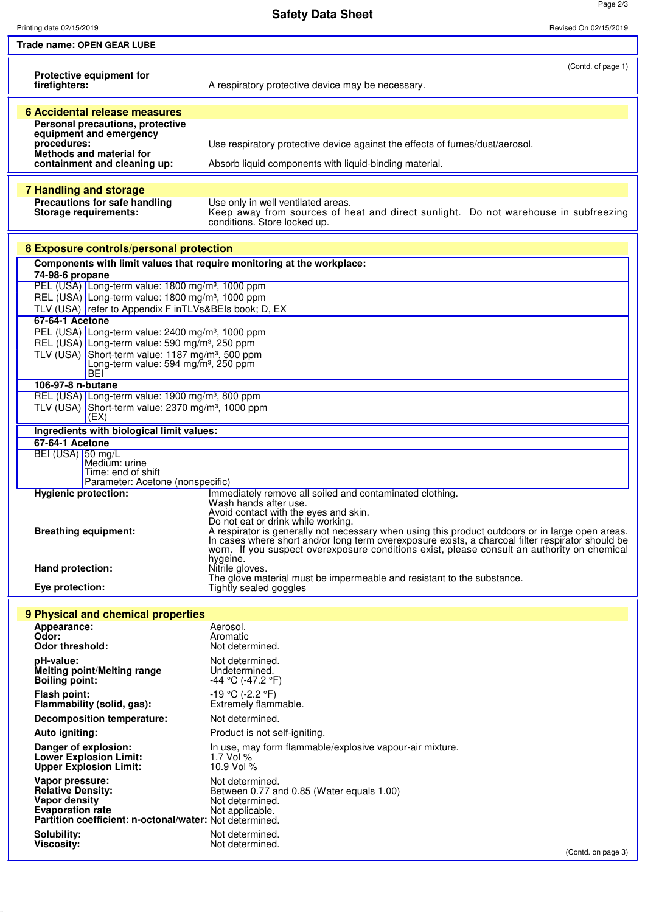**Safety Data Sheet**

Page 2/3

| Printing date 02/15/2019                                                                                                                                                                                                                                                                                                                                                                                                  | Revised On 02/15/2019                                                                                                                                                                                                                                                                                                                                                                                                                                                    |  |
|---------------------------------------------------------------------------------------------------------------------------------------------------------------------------------------------------------------------------------------------------------------------------------------------------------------------------------------------------------------------------------------------------------------------------|--------------------------------------------------------------------------------------------------------------------------------------------------------------------------------------------------------------------------------------------------------------------------------------------------------------------------------------------------------------------------------------------------------------------------------------------------------------------------|--|
| Trade name: OPEN GEAR LUBE                                                                                                                                                                                                                                                                                                                                                                                                |                                                                                                                                                                                                                                                                                                                                                                                                                                                                          |  |
| <b>Protective equipment for</b><br>firefighters:                                                                                                                                                                                                                                                                                                                                                                          | (Contd. of page 1)<br>A respiratory protective device may be necessary.                                                                                                                                                                                                                                                                                                                                                                                                  |  |
|                                                                                                                                                                                                                                                                                                                                                                                                                           |                                                                                                                                                                                                                                                                                                                                                                                                                                                                          |  |
| 6 Accidental release measures<br>Personal precautions, protective<br>equipment and emergency<br>procedures:<br>Methods and material for<br>containment and cleaning up:                                                                                                                                                                                                                                                   | Use respiratory protective device against the effects of fumes/dust/aerosol.<br>Absorb liquid components with liquid-binding material.                                                                                                                                                                                                                                                                                                                                   |  |
|                                                                                                                                                                                                                                                                                                                                                                                                                           |                                                                                                                                                                                                                                                                                                                                                                                                                                                                          |  |
| <b>7 Handling and storage</b><br>Precautions for safe handling<br><b>Storage requirements:</b>                                                                                                                                                                                                                                                                                                                            | Use only in well ventilated areas.<br>Keep away from sources of heat and direct sunlight. Do not warehouse in subfreezing<br>conditions. Store locked up.                                                                                                                                                                                                                                                                                                                |  |
| 8 Exposure controls/personal protection                                                                                                                                                                                                                                                                                                                                                                                   |                                                                                                                                                                                                                                                                                                                                                                                                                                                                          |  |
| Components with limit values that require monitoring at the workplace:                                                                                                                                                                                                                                                                                                                                                    |                                                                                                                                                                                                                                                                                                                                                                                                                                                                          |  |
| 74-98-6 propane<br>PEL (USA) Long-term value: 1800 mg/m <sup>3</sup> , 1000 ppm<br>REL (USA) Long-term value: 1800 mg/m <sup>3</sup> , 1000 ppm<br>TLV (USA) refer to Appendix F inTLVs&BEIs book; D, EX<br>67-64-1 Acetone<br>PEL (USA) Long-term value: 2400 mg/m <sup>3</sup> , 1000 ppm<br>REL (USA) Long-term value: 590 mg/m <sup>3</sup> , 250 ppm<br>TLV (USA) Short-term value: 1187 mg/m <sup>3</sup> , 500 ppm |                                                                                                                                                                                                                                                                                                                                                                                                                                                                          |  |
| Long-term value: 594 mg/m <sup>3</sup> , 250 ppm<br>BEI                                                                                                                                                                                                                                                                                                                                                                   |                                                                                                                                                                                                                                                                                                                                                                                                                                                                          |  |
| 106-97-8 n-butane                                                                                                                                                                                                                                                                                                                                                                                                         |                                                                                                                                                                                                                                                                                                                                                                                                                                                                          |  |
| REL (USA) Long-term value: 1900 mg/m <sup>3</sup> , 800 ppm<br>TLV (USA) Short-term value: $2370$ mg/m <sup>3</sup> , 1000 ppm<br>(EX)                                                                                                                                                                                                                                                                                    |                                                                                                                                                                                                                                                                                                                                                                                                                                                                          |  |
| Ingredients with biological limit values:                                                                                                                                                                                                                                                                                                                                                                                 |                                                                                                                                                                                                                                                                                                                                                                                                                                                                          |  |
| 67-64-1 Acetone<br>BEI (USA) 50 mg/L<br>Medium: urine<br>Time: end of shift<br>Parameter: Acetone (nonspecific)                                                                                                                                                                                                                                                                                                           |                                                                                                                                                                                                                                                                                                                                                                                                                                                                          |  |
| <b>Hygienic protection:</b><br><b>Breathing equipment:</b>                                                                                                                                                                                                                                                                                                                                                                | Immediately remove all soiled and contaminated clothing.<br>Wash hands after use.<br>Avoid contact with the eyes and skin.<br>Do not eat or drink while working.<br>A respirator is generally not necessary when using this product outdoors or in large open areas.<br>In cases where short and/or long term overexposure exists, a charcoal filter respirator should be<br>worn. If you suspect overexposure conditions exist, please consult an authority on chemical |  |
| Hand protection:                                                                                                                                                                                                                                                                                                                                                                                                          | hygeine.<br>Nitrile gloves.                                                                                                                                                                                                                                                                                                                                                                                                                                              |  |
| Eye protection:                                                                                                                                                                                                                                                                                                                                                                                                           | The glove material must be impermeable and resistant to the substance.<br>Tightly sealed goggles                                                                                                                                                                                                                                                                                                                                                                         |  |
|                                                                                                                                                                                                                                                                                                                                                                                                                           |                                                                                                                                                                                                                                                                                                                                                                                                                                                                          |  |
| 9 Physical and chemical properties                                                                                                                                                                                                                                                                                                                                                                                        |                                                                                                                                                                                                                                                                                                                                                                                                                                                                          |  |
| Appearance:<br>Odor:                                                                                                                                                                                                                                                                                                                                                                                                      | Aerosol.<br>Aromatic                                                                                                                                                                                                                                                                                                                                                                                                                                                     |  |
| <b>Odor threshold:</b>                                                                                                                                                                                                                                                                                                                                                                                                    | Not determined.                                                                                                                                                                                                                                                                                                                                                                                                                                                          |  |
| pH-value:<br>Melting point/Melting range<br><b>Boiling point:</b>                                                                                                                                                                                                                                                                                                                                                         | Not determined.<br>Undetermined.<br>-44 °C (-47.2 °F)                                                                                                                                                                                                                                                                                                                                                                                                                    |  |
| Flash point:<br>Flammability (solid, gas):                                                                                                                                                                                                                                                                                                                                                                                | $-19$ °C (-2.2 °F)<br>Extremely flammable.                                                                                                                                                                                                                                                                                                                                                                                                                               |  |
| <b>Decomposition temperature:</b>                                                                                                                                                                                                                                                                                                                                                                                         | Not determined.                                                                                                                                                                                                                                                                                                                                                                                                                                                          |  |
| Auto igniting:                                                                                                                                                                                                                                                                                                                                                                                                            | Product is not self-igniting.                                                                                                                                                                                                                                                                                                                                                                                                                                            |  |
| Danger of explosion:<br><b>Lower Explosion Limit:</b><br><b>Upper Explosion Limit:</b>                                                                                                                                                                                                                                                                                                                                    | In use, may form flammable/explosive vapour-air mixture.<br>1.7 Vol %<br>10.9 Vol %                                                                                                                                                                                                                                                                                                                                                                                      |  |
| Vapor pressure:<br><b>Relative Density:</b><br>Vapor density<br><b>Evaporation rate</b><br>Partition coefficient: n-octonal/water: Not determined.                                                                                                                                                                                                                                                                        | Not determined.<br>Between 0.77 and 0.85 (Water equals 1.00)<br>Not determined.<br>Not applicable.                                                                                                                                                                                                                                                                                                                                                                       |  |
| Solubility:<br><b>Viscosity:</b>                                                                                                                                                                                                                                                                                                                                                                                          | Not determined.<br>Not determined.                                                                                                                                                                                                                                                                                                                                                                                                                                       |  |
|                                                                                                                                                                                                                                                                                                                                                                                                                           | (Contd. on page 3)                                                                                                                                                                                                                                                                                                                                                                                                                                                       |  |